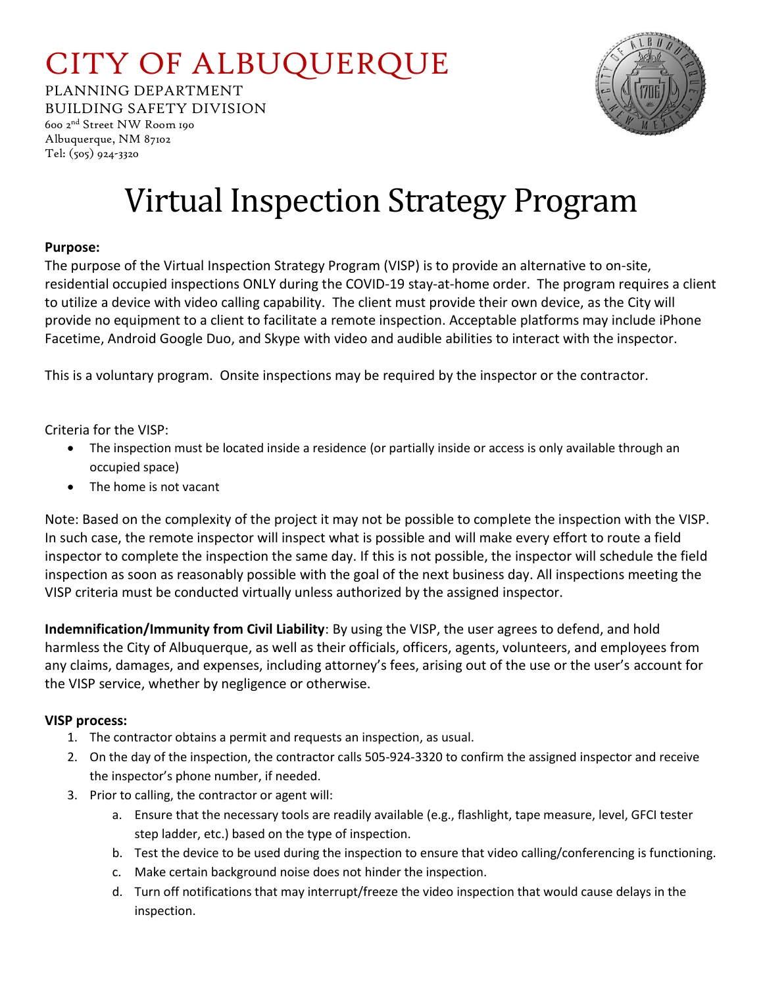## CITY OF ALBUQUERQUE

PLANNING DEPARTMENT BUILDING SAFETY DIVISION



600 2nd Street NW Room 190 Albuquerque, NM 87102 Tel: (505) 924-3320

# Virtual Inspection Strategy Program

### **Purpose:**

The purpose of the Virtual Inspection Strategy Program (VISP) is to provide an alternative to on-site, residential occupied inspections ONLY during the COVID-19 stay-at-home order. The program requires a client to utilize a device with video calling capability. The client must provide their own device, as the City will provide no equipment to a client to facilitate a remote inspection. Acceptable platforms may include iPhone Facetime, Android Google Duo, and Skype with video and audible abilities to interact with the inspector.

This is a voluntary program. Onsite inspections may be required by the inspector or the contractor.

Criteria for the VISP:

- The inspection must be located inside a residence (or partially inside or access is only available through an occupied space)
- The home is not vacant

Note: Based on the complexity of the project it may not be possible to complete the inspection with the VISP. In such case, the remote inspector will inspect what is possible and will make every effort to route a field inspector to complete the inspection the same day. If this is not possible, the inspector will schedule the field inspection as soon as reasonably possible with the goal of the next business day. All inspections meeting the VISP criteria must be conducted virtually unless authorized by the assigned inspector.

**Indemnification/Immunity from Civil Liability**: By using the VISP, the user agrees to defend, and hold harmless the City of Albuquerque, as well as their officials, officers, agents, volunteers, and employees from any claims, damages, and expenses, including attorney's fees, arising out of the use or the user's account for the VISP service, whether by negligence or otherwise.

#### **VISP process:**

- 1. The contractor obtains a permit and requests an inspection, as usual.
- 2. On the day of the inspection, the contractor calls 505-924-3320 to confirm the assigned inspector and receive the inspector's phone number, if needed.
- 3. Prior to calling, the contractor or agent will:
	- a. Ensure that the necessary tools are readily available (e.g., flashlight, tape measure, level, GFCI tester step ladder, etc.) based on the type of inspection.
	- b. Test the device to be used during the inspection to ensure that video calling/conferencing is functioning.
	- c. Make certain background noise does not hinder the inspection.
	- d. Turn off notifications that may interrupt/freeze the video inspection that would cause delays in the inspection.